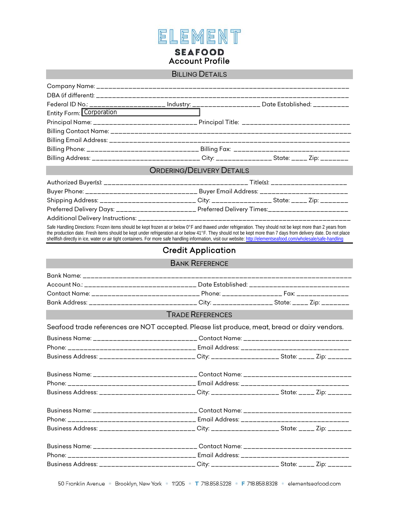

## BILLING DETAILS

|                          | Federal ID N <u>o.: ____________________ Industry: __</u> ________________ Date Established: _________                                                                                                                                                                                                                                                                                                                                                                                               |  |  |  |
|--------------------------|------------------------------------------------------------------------------------------------------------------------------------------------------------------------------------------------------------------------------------------------------------------------------------------------------------------------------------------------------------------------------------------------------------------------------------------------------------------------------------------------------|--|--|--|
| Entity Form: Corporation |                                                                                                                                                                                                                                                                                                                                                                                                                                                                                                      |  |  |  |
|                          | Principal Name: __________________________ Principal Title: ___________________________                                                                                                                                                                                                                                                                                                                                                                                                              |  |  |  |
|                          |                                                                                                                                                                                                                                                                                                                                                                                                                                                                                                      |  |  |  |
|                          |                                                                                                                                                                                                                                                                                                                                                                                                                                                                                                      |  |  |  |
|                          | Billing Phone: ______________________________ Billing Fax: _________________________________                                                                                                                                                                                                                                                                                                                                                                                                         |  |  |  |
|                          | Billing Address: ___________________________City: _______________State: _____ Zip: _______                                                                                                                                                                                                                                                                                                                                                                                                           |  |  |  |
|                          | <b>ORDERING/DELIVERY DETAILS</b>                                                                                                                                                                                                                                                                                                                                                                                                                                                                     |  |  |  |
|                          |                                                                                                                                                                                                                                                                                                                                                                                                                                                                                                      |  |  |  |
|                          | Buyer Phone: ________________________________ Buyer Email Address: ________________________                                                                                                                                                                                                                                                                                                                                                                                                          |  |  |  |
|                          | Shipping Address: _________________________City: _______________State: _____ Zip: ________                                                                                                                                                                                                                                                                                                                                                                                                           |  |  |  |
|                          | Preferred Delivery Days: ______________________ Preferred Delivery Times:_____________________                                                                                                                                                                                                                                                                                                                                                                                                       |  |  |  |
|                          |                                                                                                                                                                                                                                                                                                                                                                                                                                                                                                      |  |  |  |
|                          | Safe Handling Directions: Frozen items should be kept frozen at or below 0°F and thawed under refrigeration. They should not be kept more than 2 years from<br>the production date. Fresh items should be kept under refrigeration at or below 41°F. They should not be kept more than 7 days from delivery date. Do not place<br>shellfish directly in ice, water or air tight containers. For more safe handling information, visit our website: http://elementseafood.com/wholesale/safe-handling |  |  |  |
|                          | <b>Credit Application</b>                                                                                                                                                                                                                                                                                                                                                                                                                                                                            |  |  |  |
| <b>BANK REFERENCE</b>    |                                                                                                                                                                                                                                                                                                                                                                                                                                                                                                      |  |  |  |
|                          |                                                                                                                                                                                                                                                                                                                                                                                                                                                                                                      |  |  |  |
|                          | Account No.: ______________________________ Date Established: _________________________                                                                                                                                                                                                                                                                                                                                                                                                              |  |  |  |
|                          | Contact Name: ________________________________ Phone: ____________________ Fax: _______________                                                                                                                                                                                                                                                                                                                                                                                                      |  |  |  |
|                          | Bank Address: _____________________________ City: _______________ State: _____ Zip: ________                                                                                                                                                                                                                                                                                                                                                                                                         |  |  |  |
|                          | <b>TRADE REFERENCES</b>                                                                                                                                                                                                                                                                                                                                                                                                                                                                              |  |  |  |
|                          | Seafood trade references are NOT accepted. Please list produce, meat, bread or dairy vendors.                                                                                                                                                                                                                                                                                                                                                                                                        |  |  |  |
|                          | Business Name: ____________________________ Contact Name: _______________________                                                                                                                                                                                                                                                                                                                                                                                                                    |  |  |  |
|                          | Phone: __________________________________ Email Address: ________________________                                                                                                                                                                                                                                                                                                                                                                                                                    |  |  |  |
|                          | Business Address: __________________________City: ____________________State: _____ Zip: ______                                                                                                                                                                                                                                                                                                                                                                                                       |  |  |  |
|                          | Business Name: _______________________________ Contact Name: _______________________________                                                                                                                                                                                                                                                                                                                                                                                                         |  |  |  |
|                          |                                                                                                                                                                                                                                                                                                                                                                                                                                                                                                      |  |  |  |
|                          | Business Address: _________________________City: ___________________State: _____ Zip: _______                                                                                                                                                                                                                                                                                                                                                                                                        |  |  |  |
|                          | Business Name: ______________________________Contact Name: _____________________                                                                                                                                                                                                                                                                                                                                                                                                                     |  |  |  |
|                          |                                                                                                                                                                                                                                                                                                                                                                                                                                                                                                      |  |  |  |
|                          | Business Address: __________________________City: ___________________State: _____ Zip: _______                                                                                                                                                                                                                                                                                                                                                                                                       |  |  |  |
|                          | Business Name: _____________________________ Contact Name: ____________________________                                                                                                                                                                                                                                                                                                                                                                                                              |  |  |  |
|                          |                                                                                                                                                                                                                                                                                                                                                                                                                                                                                                      |  |  |  |
|                          | Business Address: _________________________City: __________________State: _____ Zip: _______                                                                                                                                                                                                                                                                                                                                                                                                         |  |  |  |
|                          |                                                                                                                                                                                                                                                                                                                                                                                                                                                                                                      |  |  |  |